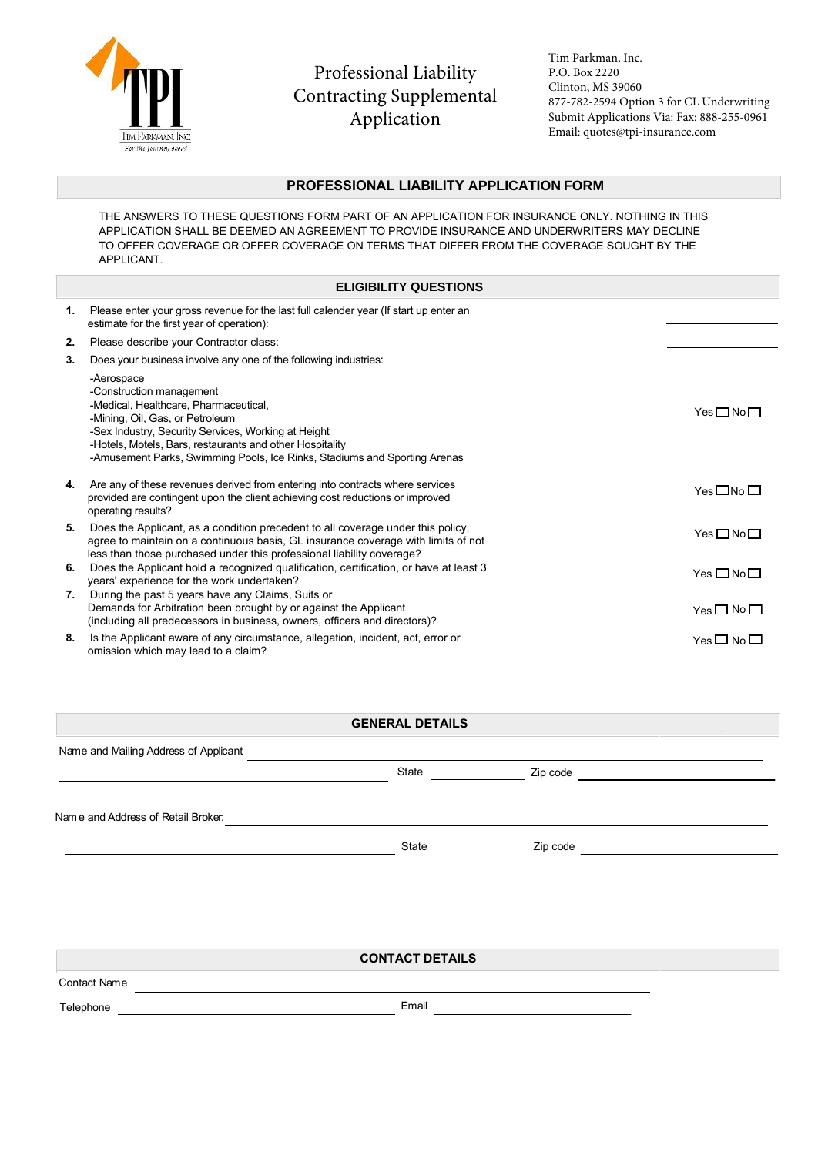

Professional Liability Contracting Supplemental Application

Tim Parkman, Inc. P.O. Box 2220 Clinton, MS 39060 877-782-2594 Option 3 for CL Underwriting Submit Applications Via: Fax: 888-255-0961 Email: quotes@tpi-insurance.com

## **PROFESSIONAL LIABILITY APPLICATION FORM**

THE ANSWERS TO THESE QUESTIONS FORM PART OF AN APPLICATION FOR INSURANCE ONLY. NOTHING IN THIS APPLICATION SHALL BE DEEMED AN AGREEMENT TO PROVIDE INSURANCE AND UNDERWRITERS MAY DECLINE TO OFFER COVERAGE OR OFFER COVERAGE ON TERMS THAT DIFFER FROM THE COVERAGE SOUGHT BY THE APPLICANT.

## **ELIGIBILITY QUESTIONS**

| 1. | Please enter your gross revenue for the last full calender year (If start up enter an<br>estimate for the first year of operation):                                                                                                                                                                                |                    |
|----|--------------------------------------------------------------------------------------------------------------------------------------------------------------------------------------------------------------------------------------------------------------------------------------------------------------------|--------------------|
| 2. | Please describe your Contractor class:                                                                                                                                                                                                                                                                             |                    |
| 3. | Does your business involve any one of the following industries:                                                                                                                                                                                                                                                    |                    |
|    | -Aerospace<br>-Construction management<br>-Medical, Healthcare, Pharmaceutical,<br>-Mining, Oil, Gas, or Petroleum<br>-Sex Industry, Security Services, Working at Height<br>-Hotels, Motels, Bars, restaurants and other Hospitality<br>-Amusement Parks, Swimming Pools, Ice Rinks, Stadiums and Sporting Arenas | Yes□No□            |
| 4. | Are any of these revenues derived from entering into contracts where services<br>provided are contingent upon the client achieving cost reductions or improved<br>operating results?                                                                                                                               | $Yes \Box No \Box$ |
| 5. | Does the Applicant, as a condition precedent to all coverage under this policy,<br>agree to maintain on a continuous basis, GL insurance coverage with limits of not<br>less than those purchased under this professional liability coverage?                                                                      | $Yes \Box No \Box$ |
| 6. | Does the Applicant hold a recognized qualification, certification, or have at least 3<br>years' experience for the work undertaken?                                                                                                                                                                                | $Yes \Box No \Box$ |
| 7. | During the past 5 years have any Claims, Suits or<br>Demands for Arbitration been brought by or against the Applicant<br>(including all predecessors in business, owners, officers and directors)?                                                                                                                 | $Yes \Box No \Box$ |
| 8. | Is the Applicant aware of any circumstance, allegation, incident, act, error or<br>omission which may lead to a claim?                                                                                                                                                                                             | $Yes \Box No \Box$ |

## **GENERAL DETAILS**

Name and Mailing Address of Applicant State **Zip code** State **Zip** code Nam e and Address of Retail Broker:

**CONTACT DETAILS**

Contact Name

Telephone **Email**